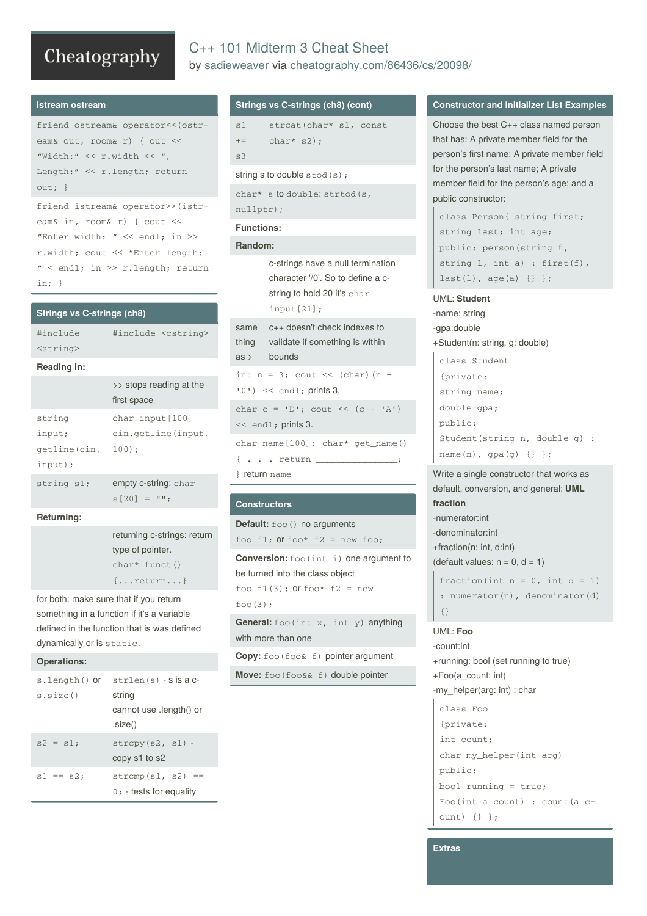# Cheatography

# C++ 101 Midterm 3 Cheat Sheet by [sadieweaver](http://www.cheatography.com/sadieweaver/) via [cheatography.com/86436/cs/20098/](http://www.cheatography.com/sadieweaver/cheat-sheets/c-101-midterm-3)

#### **istream ostream**

friend ostream& operator << (ostream& out, room& r) { out << "Width:" << r.width << ", Length:" << r.length; return out; }

friend istream& operator>>(istr‐ eam& in, room& r) { cout << "Enter width: " << endl; in >> r.width; cout << "Enter length: " < endl; in >> r.length; return in; }

#### **Strings vs C-strings (ch8)**

| #include          | #include <cstring></cstring> |
|-------------------|------------------------------|
| <string></string> |                              |

#### **Reading in:**

|              | $\rightarrow$ stops reading at the<br>first space |  |
|--------------|---------------------------------------------------|--|
| string       | char input [100]                                  |  |
| input;       | cin.getline(input,                                |  |
| qetline(cin, | $100$ );                                          |  |
| input);      |                                                   |  |
| string s1;   | empty c-string: char<br>$s[20] = "$               |  |
|              |                                                   |  |

## **Returning:**

returning c-strings: return type of pointer. char\* funct() {...return...}

for both: make sure that if you return something in a function if it's a variable defined in the function that is was defined dynamically or is static.

#### **Operations:**

| s.length() <b>or</b> | $strlen(s) - S$ is a $c$ -                              |  |
|----------------------|---------------------------------------------------------|--|
| s.size()             | string<br>cannot use .length() or<br>.size()            |  |
| $s2 = s1$            | $strcpy(s2, s1)$ -<br>copy s1 to s2                     |  |
| $s1 == s2$           | $\text{stromp}(s1, s2) ==$<br>$0:$ - tests for equality |  |

## **Strings vs C-strings (ch8) (cont)**

```
s1
+s3
      strcat(char* s1, const
      char* s2);
string s to double stod(s);
```

```
char* s to double: strtod(s,
nullptr);
```
# **Functions:**

#### **Random:**

c-strings have a null termination character '/0'. So to define a cstring to hold 20 it's char input[21];

|               | same c++ doesn't check indexes to                                                                        |  |  |
|---------------|----------------------------------------------------------------------------------------------------------|--|--|
|               | thing validate if something is within                                                                    |  |  |
|               | $\text{as} \rightarrow \text{bounds}$                                                                    |  |  |
|               | int $n = 3$ ; cout << (char) (n +<br>$(0!)$ << endl; prints 3.                                           |  |  |
|               | char $c = 'D';$ cout << $(c - 'A')$<br>$<<$ end1; prints 3.                                              |  |  |
|               | $char$ name $[100]$ ; $char*$ $get_name()$                                                               |  |  |
| } return name | $\{ \cdot \cdot \cdot \cdot \text{return } \underline{\qquad \qquad \qquad \qquad } \quad \qquad \vdots$ |  |  |
|               |                                                                                                          |  |  |

## **Constructors**

```
Default: foo() no arguments
foo f1; or foo* f2 = new foo;
```
**Conversion:** foo (int i) one argument to be turned into the class object foo  $f1(3)$ ; or foo\*  $f2 = new$  $foo(3)$ ; **General:** foo(int x, int y) anything

```
with more than one
```
**Copy:** foo(foo& f) pointer argument

**Move:** foo (foo&& f) double pointer

### **Constructor and Initializer List Examples**

```
Choose the best C++ class named person
that has: A private member field for the
person's first name; A private member field
for the person's last name; A private
member field for the person's age; and a
public constructor:
```

```
class Person{ string first;
string last; int age;
public: person(string f,
string l, int a) : first(f),
last(1), age(a) {}};
```
#### UML: **Student**

```
-name: string
-gpa:double
+Student(n: string, g: double)
 class Student
```

```
{private:
string name;
double gpa;
public:
Student(string n, double g) :
name(n), gpa(g) {} };
```
Write a single constructor that works as default, conversion, and general: **UML fraction** -numerator:int -denominator:int +fraction(n: int, d:int) (default values:  $n = 0$ ,  $d = 1$ ) fraction(int  $n = 0$ , int  $d = 1$ ) : numerator(n), denominator(d) {}

UML: **Foo** -count:int +running: bool (set running to true) +Foo(a\_count: int) -my\_helper(arg: int) : char class Foo {private: int count; char my helper(int arg) public: bool running = true; Foo(int a\_count) : count(a\_c-

**Extras**

ount) {} };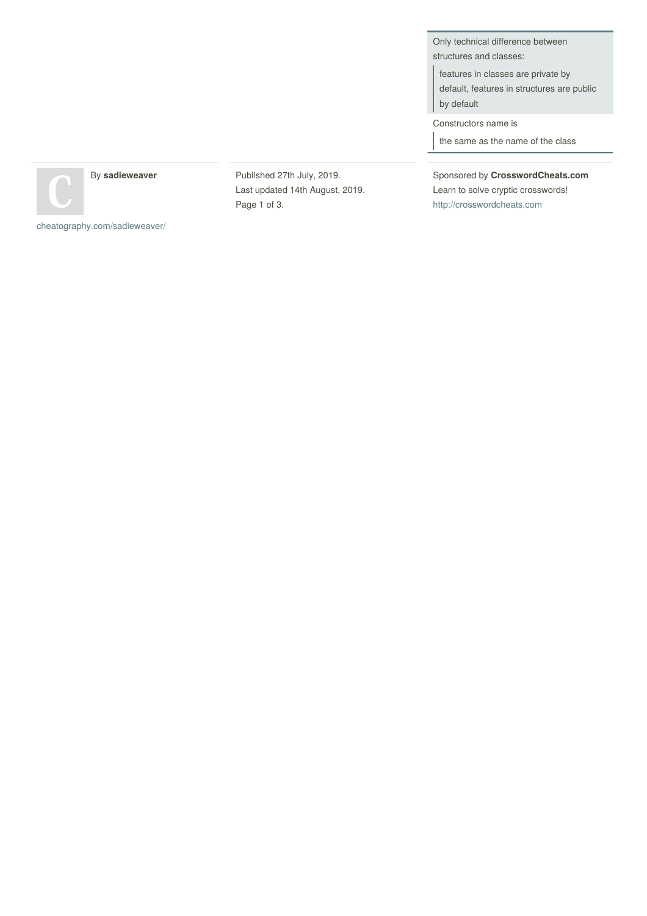Only technical difference between structures and classes:

features in classes are private by default, features in structures are public by default

Constructors name is

the same as the name of the class

By **sadieweaver**

Published 27th July, 2019. Last updated 14th August, 2019. Page 1 of 3.

Sponsored by **CrosswordCheats.com** Learn to solve cryptic crosswords! <http://crosswordcheats.com>

[cheatography.com/sadieweaver/](http://www.cheatography.com/sadieweaver/)